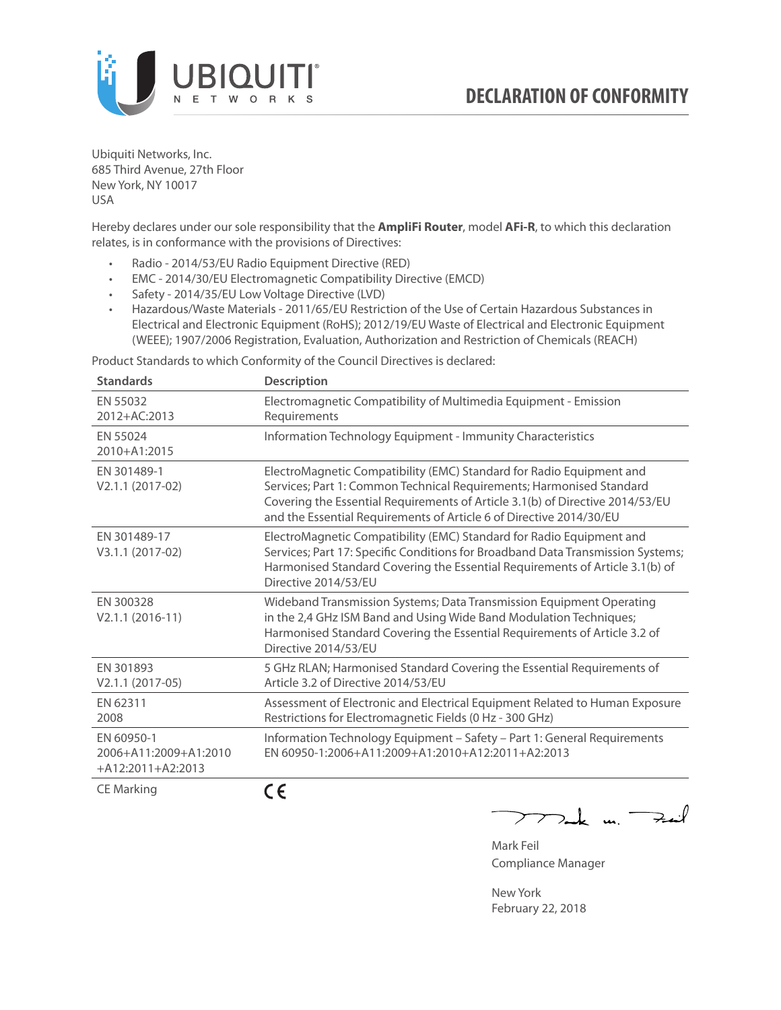

Ubiquiti Networks, Inc. 685 Third Avenue, 27th Floor New York, NY 10017 USA

Hereby declares under our sole responsibility that the **AmpliFi Router**, model **AFi-R**, to which this declaration relates, is in conformance with the provisions of Directives:

- Radio 2014/53/EU Radio Equipment Directive (RED)
- EMC 2014/30/EU Electromagnetic Compatibility Directive (EMCD)
- Safety 2014/35/EU Low Voltage Directive (LVD)
- Hazardous/Waste Materials 2011/65/EU Restriction of the Use of Certain Hazardous Substances in Electrical and Electronic Equipment (RoHS); 2012/19/EU Waste of Electrical and Electronic Equipment (WEEE); 1907/2006 Registration, Evaluation, Authorization and Restriction of Chemicals (REACH)

Product Standards to which Conformity of the Council Directives is declared:

| <b>Standards</b>                                           | <b>Description</b>                                                                                                                                                                                                                                                                                   |
|------------------------------------------------------------|------------------------------------------------------------------------------------------------------------------------------------------------------------------------------------------------------------------------------------------------------------------------------------------------------|
| EN 55032<br>2012+AC:2013                                   | Electromagnetic Compatibility of Multimedia Equipment - Emission<br>Requirements                                                                                                                                                                                                                     |
| EN 55024<br>2010+A1:2015                                   | Information Technology Equipment - Immunity Characteristics                                                                                                                                                                                                                                          |
| EN 301489-1<br>V2.1.1 (2017-02)                            | ElectroMagnetic Compatibility (EMC) Standard for Radio Equipment and<br>Services; Part 1: Common Technical Requirements; Harmonised Standard<br>Covering the Essential Requirements of Article 3.1(b) of Directive 2014/53/EU<br>and the Essential Requirements of Article 6 of Directive 2014/30/EU |
| EN 301489-17<br>V3.1.1 (2017-02)                           | ElectroMagnetic Compatibility (EMC) Standard for Radio Equipment and<br>Services; Part 17: Specific Conditions for Broadband Data Transmission Systems;<br>Harmonised Standard Covering the Essential Requirements of Article 3.1(b) of<br>Directive 2014/53/EU                                      |
| EN 300328<br>$V2.1.1 (2016-11)$                            | Wideband Transmission Systems; Data Transmission Equipment Operating<br>in the 2,4 GHz ISM Band and Using Wide Band Modulation Techniques;<br>Harmonised Standard Covering the Essential Requirements of Article 3.2 of<br>Directive 2014/53/EU                                                      |
| EN 301893<br>$V2.1.1 (2017-05)$                            | 5 GHz RLAN; Harmonised Standard Covering the Essential Requirements of<br>Article 3.2 of Directive 2014/53/EU                                                                                                                                                                                        |
| EN 62311<br>2008                                           | Assessment of Electronic and Electrical Equipment Related to Human Exposure<br>Restrictions for Electromagnetic Fields (0 Hz - 300 GHz)                                                                                                                                                              |
| EN 60950-1<br>2006+A11:2009+A1:2010<br>$+A12:2011+A2:2013$ | Information Technology Equipment - Safety - Part 1: General Requirements<br>EN 60950-1:2006+A11:2009+A1:2010+A12:2011+A2:2013                                                                                                                                                                        |
| $C \Gamma$ $M = 11$                                        | $\epsilon$                                                                                                                                                                                                                                                                                           |

CE Marking

CE

 $\nabla$ ak m.  $\rightarrow$  $\overline{\phantom{1}}$ 

Mark Feil Compliance Manager

New York February 22, 2018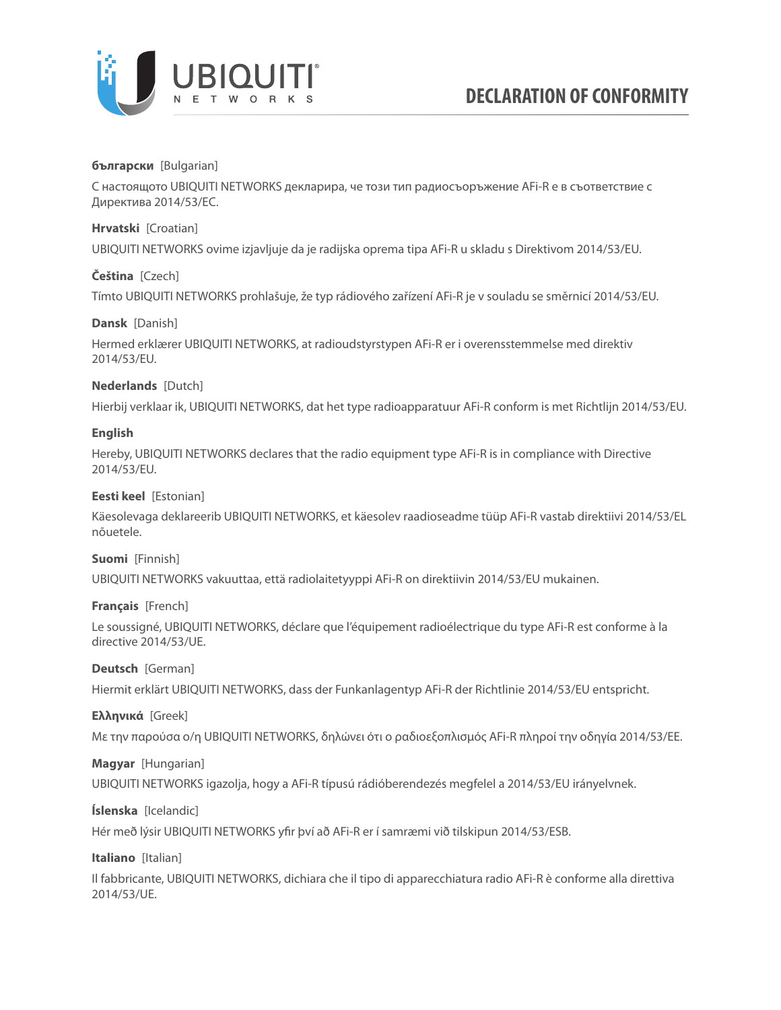

# **български** [Bulgarian]

С настоящото UBIQUITI NETWORKS декларира, че този тип радиосъоръжение AFi-R е в съответствие с Директива 2014/53/ЕС.

## **Hrvatski** [Croatian]

UBIQUITI NETWORKS ovime izjavljuje da je radijska oprema tipa AFi-R u skladu s Direktivom 2014/53/EU.

## **Čeština** [Czech]

Tímto UBIQUITI NETWORKS prohlašuje, že typ rádiového zařízení AFi-R je v souladu se směrnicí 2014/53/EU.

## **Dansk** [Danish]

Hermed erklærer UBIQUITI NETWORKS, at radioudstyrstypen AFi-R er i overensstemmelse med direktiv 2014/53/EU.

## **Nederlands** [Dutch]

Hierbij verklaar ik, UBIQUITI NETWORKS, dat het type radioapparatuur AFi-R conform is met Richtlijn 2014/53/EU.

## **English**

Hereby, UBIQUITI NETWORKS declares that the radio equipment type AFi-R is in compliance with Directive 2014/53/EU.

## **Eesti keel** [Estonian]

Käesolevaga deklareerib UBIQUITI NETWORKS, et käesolev raadioseadme tüüp AFi-R vastab direktiivi 2014/53/EL nõuetele.

#### **Suomi** [Finnish]

UBIQUITI NETWORKS vakuuttaa, että radiolaitetyyppi AFi-R on direktiivin 2014/53/EU mukainen.

# **Français** [French]

Le soussigné, UBIQUITI NETWORKS, déclare que l'équipement radioélectrique du type AFi-R est conforme à la directive 2014/53/UE.

# **Deutsch** [German]

Hiermit erklärt UBIQUITI NETWORKS, dass der Funkanlagentyp AFi-R der Richtlinie 2014/53/EU entspricht.

#### **Ελληνικά** [Greek]

Με την παρούσα ο/η UBIQUITI NETWORKS, δηλώνει ότι ο ραδιοεξοπλισμός AFi-R πληροί την οδηγία 2014/53/ΕΕ.

# **Magyar** [Hungarian]

UBIQUITI NETWORKS igazolja, hogy a AFi-R típusú rádióberendezés megfelel a 2014/53/EU irányelvnek.

# **Íslenska** [Icelandic]

Hér með lýsir UBIQUITI NETWORKS yfir því að AFi-R er í samræmi við tilskipun 2014/53/ESB.

**Italiano** [Italian]

Il fabbricante, UBIQUITI NETWORKS, dichiara che il tipo di apparecchiatura radio AFi-R è conforme alla direttiva 2014/53/UE.